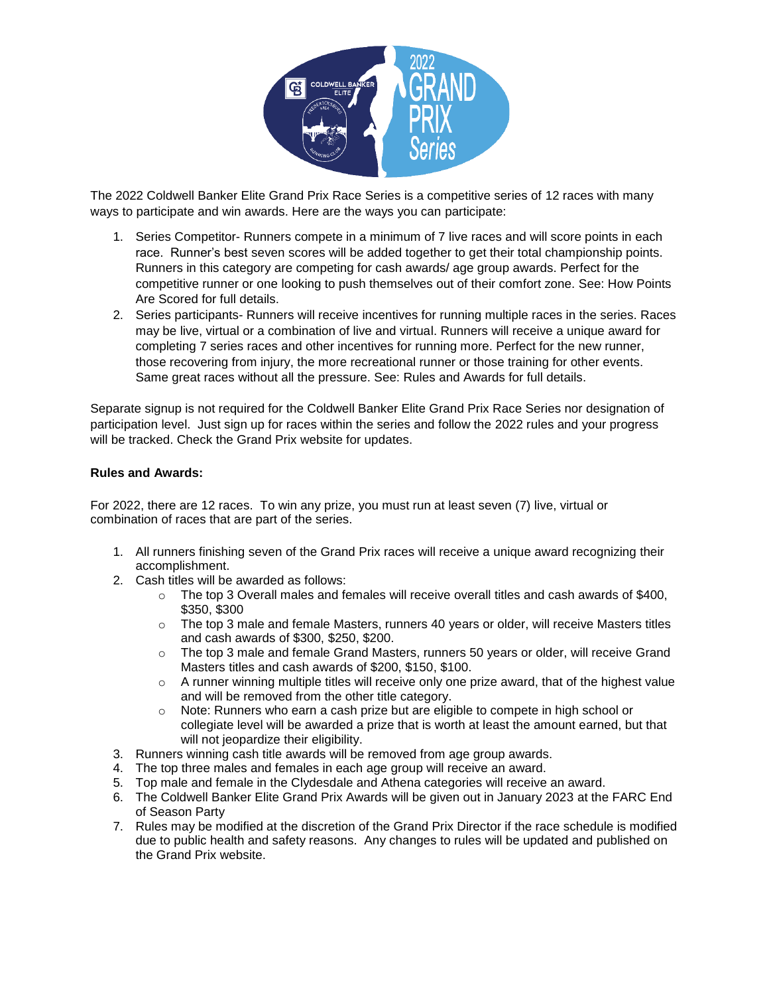

The 2022 Coldwell Banker Elite Grand Prix Race Series is a competitive series of 12 races with many ways to participate and win awards. Here are the ways you can participate:

- 1. Series Competitor- Runners compete in a minimum of 7 live races and will score points in each race. Runner's best seven scores will be added together to get their total championship points. Runners in this category are competing for cash awards/ age group awards. Perfect for the competitive runner or one looking to push themselves out of their comfort zone. See: How Points Are Scored for full details.
- 2. Series participants- Runners will receive incentives for running multiple races in the series. Races may be live, virtual or a combination of live and virtual. Runners will receive a unique award for completing 7 series races and other incentives for running more. Perfect for the new runner, those recovering from injury, the more recreational runner or those training for other events. Same great races without all the pressure. See: Rules and Awards for full details.

Separate signup is not required for the Coldwell Banker Elite Grand Prix Race Series nor designation of participation level. Just sign up for races within the series and follow the 2022 rules and your progress will be tracked. Check the Grand Prix website for updates.

# **Rules and Awards:**

For 2022, there are 12 races. To win any prize, you must run at least seven (7) live, virtual or combination of races that are part of the series.

- 1. All runners finishing seven of the Grand Prix races will receive a unique award recognizing their accomplishment.
- 2. Cash titles will be awarded as follows:
	- o The top 3 Overall males and females will receive overall titles and cash awards of \$400, \$350, \$300
	- $\circ$  The top 3 male and female Masters, runners 40 years or older, will receive Masters titles and cash awards of \$300, \$250, \$200.
	- $\circ$  The top 3 male and female Grand Masters, runners 50 years or older, will receive Grand Masters titles and cash awards of \$200, \$150, \$100.
	- $\circ$  A runner winning multiple titles will receive only one prize award, that of the highest value and will be removed from the other title category.
	- $\circ$  Note: Runners who earn a cash prize but are eligible to compete in high school or collegiate level will be awarded a prize that is worth at least the amount earned, but that will not jeopardize their eligibility.
- 3. Runners winning cash title awards will be removed from age group awards.
- 4. The top three males and females in each age group will receive an award.
- 5. Top male and female in the Clydesdale and Athena categories will receive an award.
- 6. The Coldwell Banker Elite Grand Prix Awards will be given out in January 2023 at the FARC End of Season Party
- 7. Rules may be modified at the discretion of the Grand Prix Director if the race schedule is modified due to public health and safety reasons. Any changes to rules will be updated and published on the Grand Prix website.